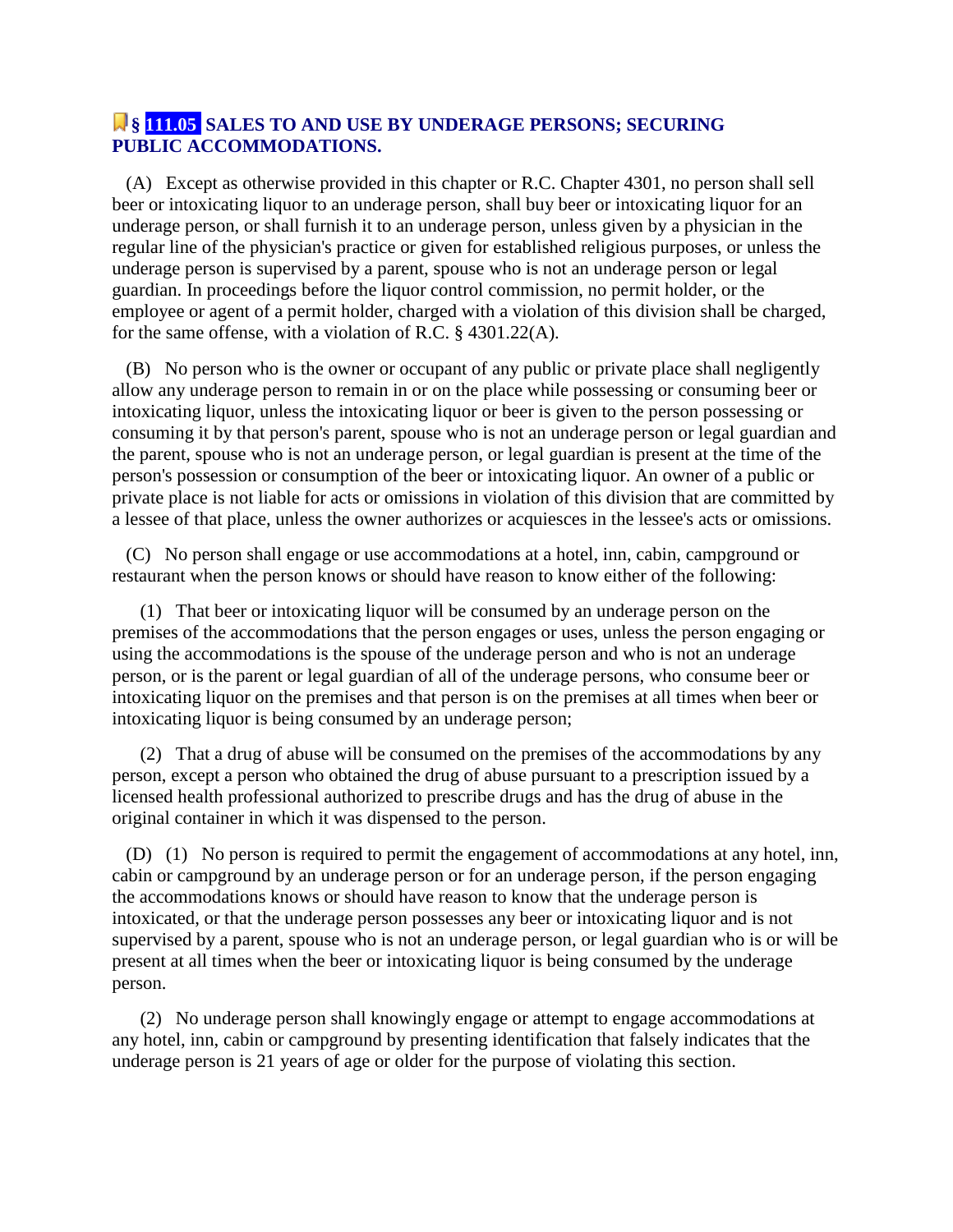## **§ 111.05 SALES TO AND USE BY UNDERAGE PERSONS; SECURING PUBLIC ACCOMMODATIONS.**

 (A) Except as otherwise provided in this chapter or R.C. Chapter 4301, no person shall sell beer or intoxicating liquor to an underage person, shall buy beer or intoxicating liquor for an underage person, or shall furnish it to an underage person, unless given by a physician in the regular line of the physician's practice or given for established religious purposes, or unless the underage person is supervised by a parent, spouse who is not an underage person or legal guardian. In proceedings before the liquor control commission, no permit holder, or the employee or agent of a permit holder, charged with a violation of this division shall be charged, for the same offense, with a violation of R.C. § 4301.22(A).

 (B) No person who is the owner or occupant of any public or private place shall negligently allow any underage person to remain in or on the place while possessing or consuming beer or intoxicating liquor, unless the intoxicating liquor or beer is given to the person possessing or consuming it by that person's parent, spouse who is not an underage person or legal guardian and the parent, spouse who is not an underage person, or legal guardian is present at the time of the person's possession or consumption of the beer or intoxicating liquor. An owner of a public or private place is not liable for acts or omissions in violation of this division that are committed by a lessee of that place, unless the owner authorizes or acquiesces in the lessee's acts or omissions.

 (C) No person shall engage or use accommodations at a hotel, inn, cabin, campground or restaurant when the person knows or should have reason to know either of the following:

 (1) That beer or intoxicating liquor will be consumed by an underage person on the premises of the accommodations that the person engages or uses, unless the person engaging or using the accommodations is the spouse of the underage person and who is not an underage person, or is the parent or legal guardian of all of the underage persons, who consume beer or intoxicating liquor on the premises and that person is on the premises at all times when beer or intoxicating liquor is being consumed by an underage person;

 (2) That a drug of abuse will be consumed on the premises of the accommodations by any person, except a person who obtained the drug of abuse pursuant to a prescription issued by a licensed health professional authorized to prescribe drugs and has the drug of abuse in the original container in which it was dispensed to the person.

 (D) (1) No person is required to permit the engagement of accommodations at any hotel, inn, cabin or campground by an underage person or for an underage person, if the person engaging the accommodations knows or should have reason to know that the underage person is intoxicated, or that the underage person possesses any beer or intoxicating liquor and is not supervised by a parent, spouse who is not an underage person, or legal guardian who is or will be present at all times when the beer or intoxicating liquor is being consumed by the underage person.

 (2) No underage person shall knowingly engage or attempt to engage accommodations at any hotel, inn, cabin or campground by presenting identification that falsely indicates that the underage person is 21 years of age or older for the purpose of violating this section.